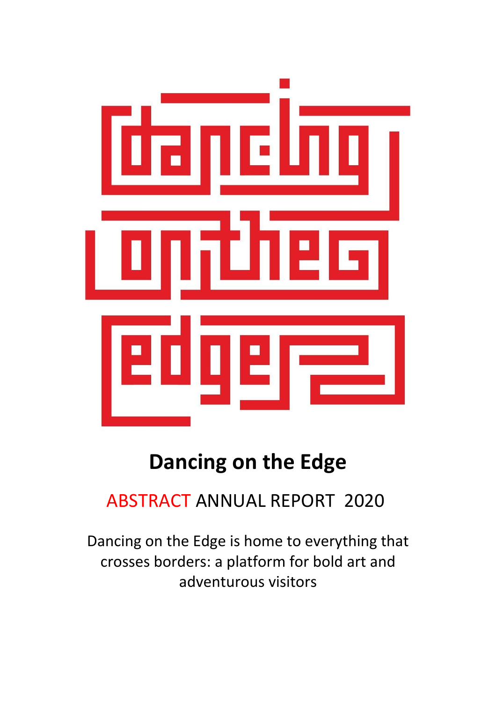

# **Dancing on the Edge**

## ABSTRACT ANNUAL REPORT 2020

Dancing on the Edge is home to everything that crosses borders: a platform for bold art and adventurous visitors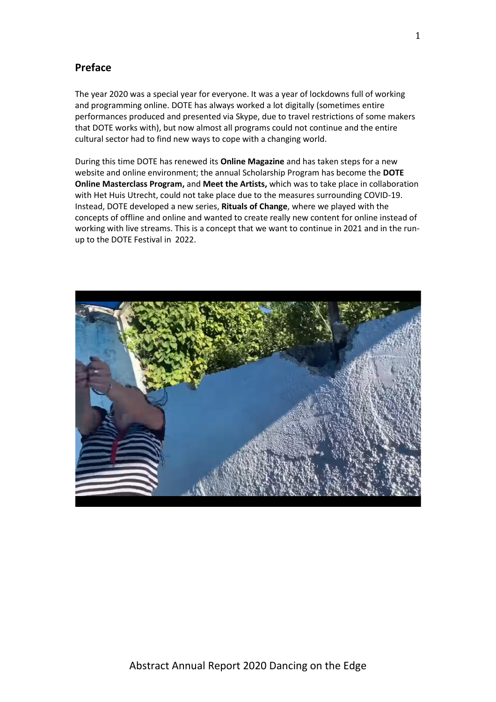## **Preface**

The year 2020 was a special year for everyone. It was a year of lockdowns full of working and programming online. DOTE has always worked a lot digitally (sometimes entire performances produced and presented via Skype, due to travel restrictions of some makers that DOTE works with), but now almost all programs could not continue and the entire cultural sector had to find new ways to cope with a changing world.

During this time DOTE has renewed its **Online Magazine** and has taken steps for a new website and online environment; the annual Scholarship Program has become the **DOTE Online Masterclass Program,** and **Meet the Artists,** which was to take place in collaboration with Het Huis Utrecht, could not take place due to the measures surrounding COVID-19. Instead, DOTE developed a new series, **Rituals of Change**, where we played with the concepts of offline and online and wanted to create really new content for online instead of working with live streams. This is a concept that we want to continue in 2021 and in the runup to the DOTE Festival in 2022.

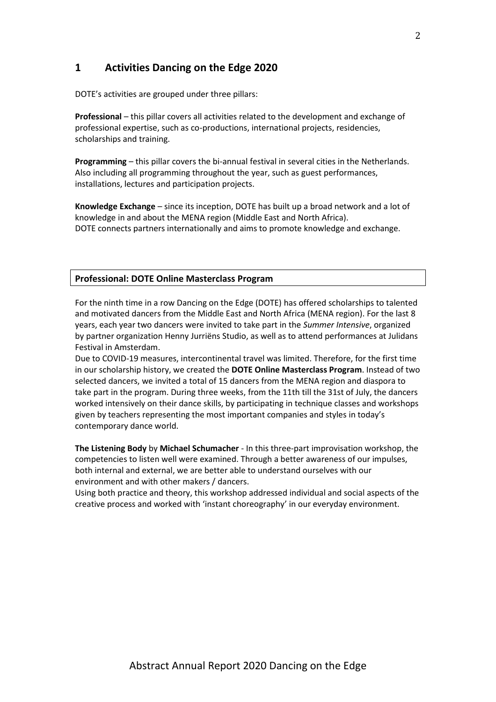## **1 Activities Dancing on the Edge 2020**

DOTE's activities are grouped under three pillars:

**Professional** – this pillar covers all activities related to the development and exchange of professional expertise, such as co-productions, international projects, residencies, scholarships and training.

**Programming** – this pillar covers the bi-annual festival in several cities in the Netherlands. Also including all programming throughout the year, such as guest performances, installations, lectures and participation projects.

**Knowledge Exchange** – since its inception, DOTE has built up a broad network and a lot of knowledge in and about the MENA region (Middle East and North Africa). DOTE connects partners internationally and aims to promote knowledge and exchange.

#### **Professional: DOTE Online Masterclass Program**

For the ninth time in a row Dancing on the Edge (DOTE) has offered scholarships to talented and motivated dancers from the Middle East and North Africa (MENA region). For the last 8 years, each year two dancers were invited to take part in the *Summer Intensive*, organized by partner organization Henny Jurriëns Studio, as well as to attend performances at Julidans Festival in Amsterdam.

Due to COVID-19 measures, intercontinental travel was limited. Therefore, for the first time in our scholarship history, we created the **DOTE Online Masterclass Program**. Instead of two selected dancers, we invited a total of 15 dancers from the MENA region and diaspora to take part in the program. During three weeks, from the 11th till the 31st of July, the dancers worked intensively on their dance skills, by participating in technique classes and workshops given by teachers representing the most important companies and styles in today's contemporary dance world.

**The Listening Body** by **Michael Schumacher** - In this three-part improvisation workshop, the competencies to listen well were examined. Through a better awareness of our impulses, both internal and external, we are better able to understand ourselves with our environment and with other makers / dancers.

Using both practice and theory, this workshop addressed individual and social aspects of the creative process and worked with 'instant choreography' in our everyday environment.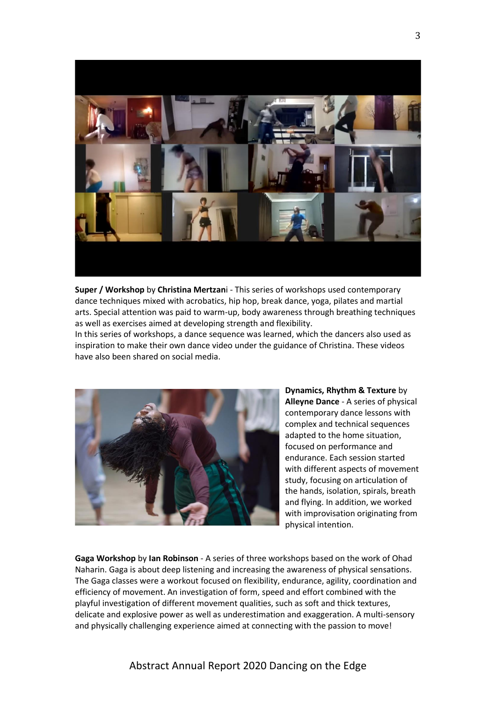

**Super / Workshop** by **Christina Mertzan**i - This series of workshops used contemporary dance techniques mixed with acrobatics, hip hop, break dance, yoga, pilates and martial arts. Special attention was paid to warm-up, body awareness through breathing techniques as well as exercises aimed at developing strength and flexibility.

In this series of workshops, a dance sequence was learned, which the dancers also used as inspiration to make their own dance video under the guidance of Christina. These videos have also been shared on social media.



**Dynamics, Rhythm & Texture** by **Alleyne Dance** - A series of physical contemporary dance lessons with complex and technical sequences adapted to the home situation, focused on performance and endurance. Each session started with different aspects of movement study, focusing on articulation of the hands, isolation, spirals, breath and flying. In addition, we worked with improvisation originating from physical intention.

**Gaga Workshop** by **Ian Robinson** - A series of three workshops based on the work of Ohad Naharin. Gaga is about deep listening and increasing the awareness of physical sensations. The Gaga classes were a workout focused on flexibility, endurance, agility, coordination and efficiency of movement. An investigation of form, speed and effort combined with the playful investigation of different movement qualities, such as soft and thick textures, delicate and explosive power as well as underestimation and exaggeration. A multi-sensory and physically challenging experience aimed at connecting with the passion to move!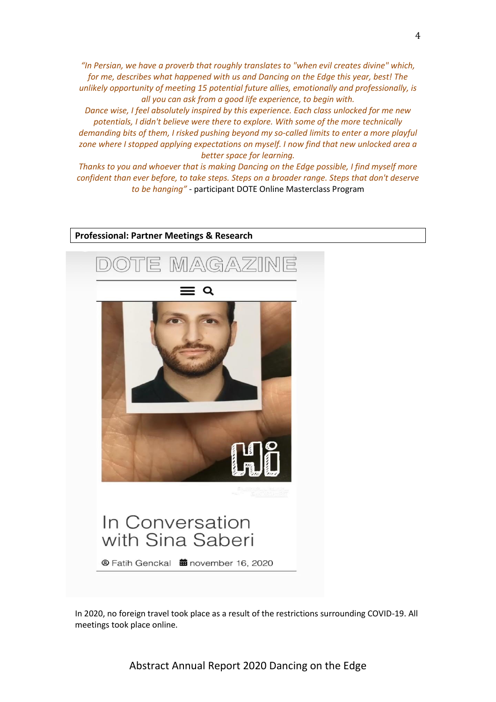*"In Persian, we have a proverb that roughly translates to "when evil creates divine" which, for me, describes what happened with us and Dancing on the Edge this year, best! The unlikely opportunity of meeting 15 potential future allies, emotionally and professionally, is all you can ask from a good life experience, to begin with.*

*Dance wise, I feel absolutely inspired by this experience. Each class unlocked for me new potentials, I didn't believe were there to explore. With some of the more technically demanding bits of them, I risked pushing beyond my so-called limits to enter a more playful zone where I stopped applying expectations on myself. I now find that new unlocked area a better space for learning.*

*Thanks to you and whoever that is making Dancing on the Edge possible, I find myself more confident than ever before, to take steps. Steps on a broader range. Steps that don't deserve to be hanging"* - participant DOTE Online Masterclass Program



In 2020, no foreign travel took place as a result of the restrictions surrounding COVID-19. All meetings took place online.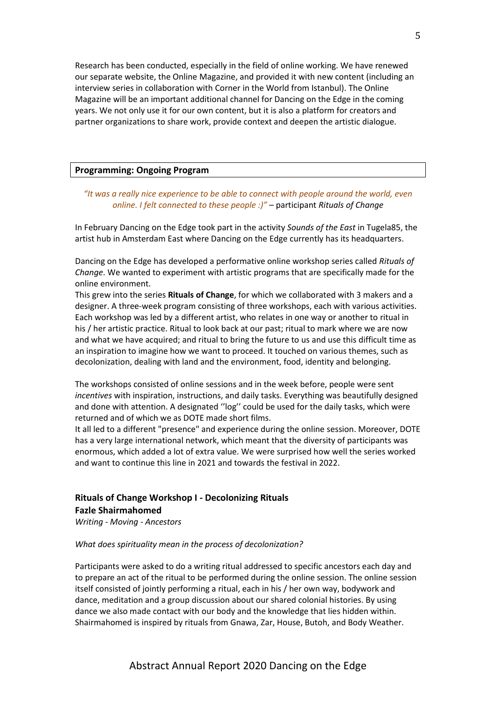Research has been conducted, especially in the field of online working. We have renewed our separate website, the Online Magazine, and provided it with new content (including an interview series in collaboration with Corner in the World from Istanbul). The Online Magazine will be an important additional channel for Dancing on the Edge in the coming years. We not only use it for our own content, but it is also a platform for creators and partner organizations to share work, provide context and deepen the artistic dialogue.

#### **Programming: Ongoing Program**

#### *"It was a really nice experience to be able to connect with people around the world, even online. I felt connected to these people :)"* – participant *Rituals of Change*

In February Dancing on the Edge took part in the activity *Sounds of the East* in Tugela85, the artist hub in Amsterdam East where Dancing on the Edge currently has its headquarters.

Dancing on the Edge has developed a performative online workshop series called *Rituals of Change*. We wanted to experiment with artistic programs that are specifically made for the online environment.

This grew into the series **Rituals of Change**, for which we collaborated with 3 makers and a designer. A three-week program consisting of three workshops, each with various activities. Each workshop was led by a different artist, who relates in one way or another to ritual in his / her artistic practice. Ritual to look back at our past; ritual to mark where we are now and what we have acquired; and ritual to bring the future to us and use this difficult time as an inspiration to imagine how we want to proceed. It touched on various themes, such as decolonization, dealing with land and the environment, food, identity and belonging.

The workshops consisted of online sessions and in the week before, people were sent *incentives* with inspiration, instructions, and daily tasks. Everything was beautifully designed and done with attention. A designated ''log'' could be used for the daily tasks, which were returned and of which we as DOTE made short films.

It all led to a different "presence" and experience during the online session. Moreover, DOTE has a very large international network, which meant that the diversity of participants was enormous, which added a lot of extra value. We were surprised how well the series worked and want to continue this line in 2021 and towards the festival in 2022.

## **Rituals of Change Workshop I - Decolonizing Rituals Fazle Shairmahomed**

*Writing - Moving - Ancestors*

#### *What does spirituality mean in the process of decolonization?*

Participants were asked to do a writing ritual addressed to specific ancestors each day and to prepare an act of the ritual to be performed during the online session. The online session itself consisted of jointly performing a ritual, each in his / her own way, bodywork and dance, meditation and a group discussion about our shared colonial histories. By using dance we also made contact with our body and the knowledge that lies hidden within. Shairmahomed is inspired by rituals from Gnawa, Zar, House, Butoh, and Body Weather.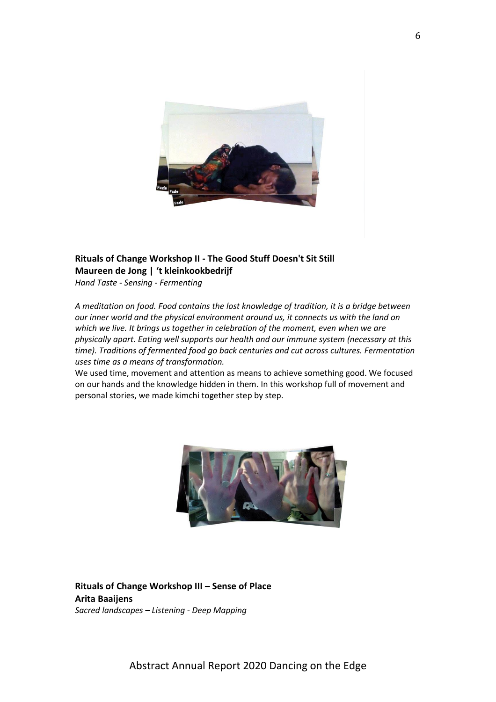

## **Rituals of Change Workshop II - The Good Stuff Doesn't Sit Still Maureen de Jong | 't kleinkookbedrijf**

*Hand Taste - Sensing - Fermenting*

*A meditation on food. Food contains the lost knowledge of tradition, it is a bridge between our inner world and the physical environment around us, it connects us with the land on which we live. It brings us together in celebration of the moment, even when we are physically apart. Eating well supports our health and our immune system (necessary at this time). Traditions of fermented food go back centuries and cut across cultures. Fermentation uses time as a means of transformation.*

We used time, movement and attention as means to achieve something good. We focused on our hands and the knowledge hidden in them. In this workshop full of movement and personal stories, we made kimchi together step by step.



**Rituals of Change Workshop III – Sense of Place Arita Baaijens** *Sacred landscapes – Listening - Deep Mapping*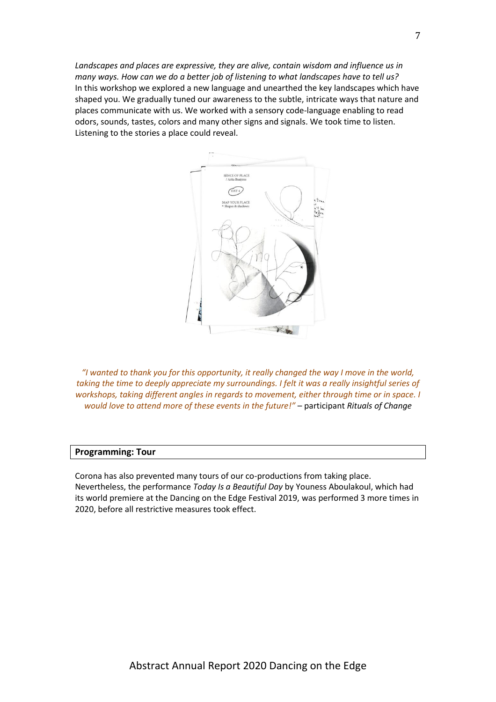*Landscapes and places are expressive, they are alive, contain wisdom and influence us in many ways. How can we do a better job of listening to what landscapes have to tell us?* In this workshop we explored a new language and unearthed the key landscapes which have shaped you. We gradually tuned our awareness to the subtle, intricate ways that nature and places communicate with us. We worked with a sensory code-language enabling to read odors, sounds, tastes, colors and many other signs and signals. We took time to listen. Listening to the stories a place could reveal.



*"I wanted to thank you for this opportunity, it really changed the way I move in the world, taking the time to deeply appreciate my surroundings. I felt it was a really insightful series of workshops, taking different angles in regards to movement, either through time or in space. I would love to attend more of these events in the future!"* – participant *Rituals of Change*

#### **Programming: Tour**

Corona has also prevented many tours of our co-productions from taking place. Nevertheless, the performance *Today Is a Beautiful Day* by Youness Aboulakoul, which had its world premiere at the Dancing on the Edge Festival 2019, was performed 3 more times in 2020, before all restrictive measures took effect.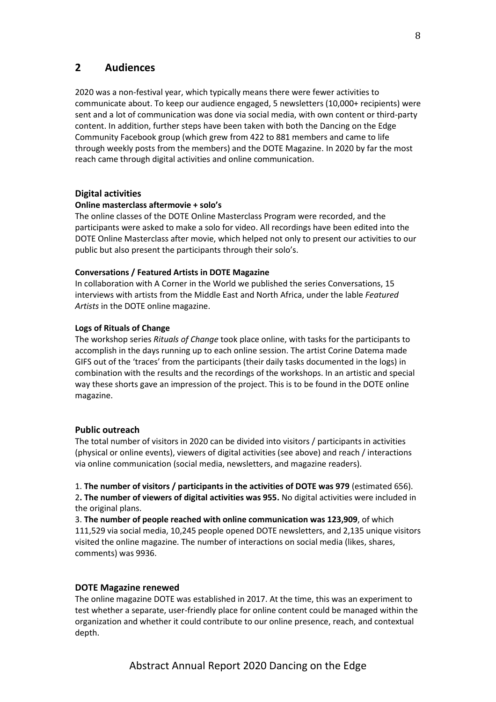### **2 Audiences**

2020 was a non-festival year, which typically means there were fewer activities to communicate about. To keep our audience engaged, 5 newsletters (10,000+ recipients) were sent and a lot of communication was done via social media, with own content or third-party content. In addition, further steps have been taken with both the Dancing on the Edge Community Facebook group (which grew from 422 to 881 members and came to life through weekly posts from the members) and the DOTE Magazine. In 2020 by far the most reach came through digital activities and online communication.

#### **Digital activities**

#### **Online masterclass aftermovie + solo's**

The online classes of the DOTE Online Masterclass Program were recorded, and the participants were asked to make a solo for video. All recordings have been edited into the DOTE Online Masterclass after movie, which helped not only to present our activities to our public but also present the participants through their solo's.

#### **Conversations / Featured Artists in DOTE Magazine**

In collaboration with A Corner in the World we published the series Conversations, 15 interviews with artists from the Middle East and North Africa, under the lable *Featured Artists* in the DOTE online magazine.

#### **Logs of Rituals of Change**

The workshop series *Rituals of Change* took place online, with tasks for the participants to accomplish in the days running up to each online session. The artist Corine Datema made GIFS out of the 'traces' from the participants (their daily tasks documented in the logs) in combination with the results and the recordings of the workshops. In an artistic and special way these shorts gave an impression of the project. This is to be found in the DOTE online magazine.

#### **Public outreach**

The total number of visitors in 2020 can be divided into visitors / participants in activities (physical or online events), viewers of digital activities (see above) and reach / interactions via online communication (social media, newsletters, and magazine readers).

1. **The number of visitors / participants in the activities of DOTE was 979** (estimated 656). 2**. The number of viewers of digital activities was 955.** No digital activities were included in the original plans.

3. **The number of people reached with online communication was 123,909**, of which 111,529 via social media, 10,245 people opened DOTE newsletters, and 2,135 unique visitors visited the online magazine. The number of interactions on social media (likes, shares, comments) was 9936.

#### **DOTE Magazine renewed**

The online magazine DOTE was established in 2017. At the time, this was an experiment to test whether a separate, user-friendly place for online content could be managed within the organization and whether it could contribute to our online presence, reach, and contextual depth.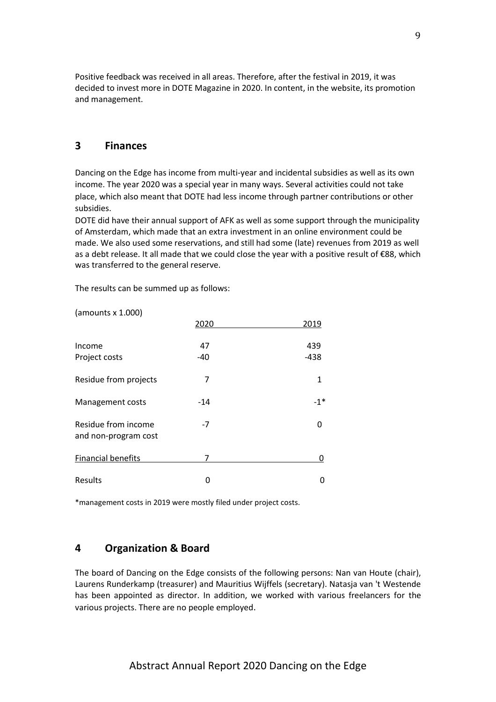Positive feedback was received in all areas. Therefore, after the festival in 2019, it was decided to invest more in DOTE Magazine in 2020. In content, in the website, its promotion and management.

## **3 Finances**

(amounts x 1.000)

Dancing on the Edge has income from multi-year and incidental subsidies as well as its own income. The year 2020 was a special year in many ways. Several activities could not take place, which also meant that DOTE had less income through partner contributions or other subsidies.

DOTE did have their annual support of AFK as well as some support through the municipality of Amsterdam, which made that an extra investment in an online environment could be made. We also used some reservations, and still had some (late) revenues from 2019 as well as a debt release. It all made that we could close the year with a positive result of €88, which was transferred to the general reserve.

The results can be summed up as follows:

|                                             | 2020        | 2019          |
|---------------------------------------------|-------------|---------------|
| Income<br>Project costs                     | 47<br>$-40$ | 439<br>$-438$ |
| Residue from projects                       | 7           | 1             |
| Management costs                            | $-14$       | $-1*$         |
| Residue from income<br>and non-program cost | $-7$        | O             |
| <b>Financial benefits</b>                   | 7           | 0             |
| Results                                     | ი           | 0             |

\*management costs in 2019 were mostly filed under project costs.

## **4 Organization & Board**

The board of Dancing on the Edge consists of the following persons: Nan van Houte (chair), Laurens Runderkamp (treasurer) and Mauritius Wijffels (secretary). Natasja van 't Westende has been appointed as director. In addition, we worked with various freelancers for the various projects. There are no people employed.